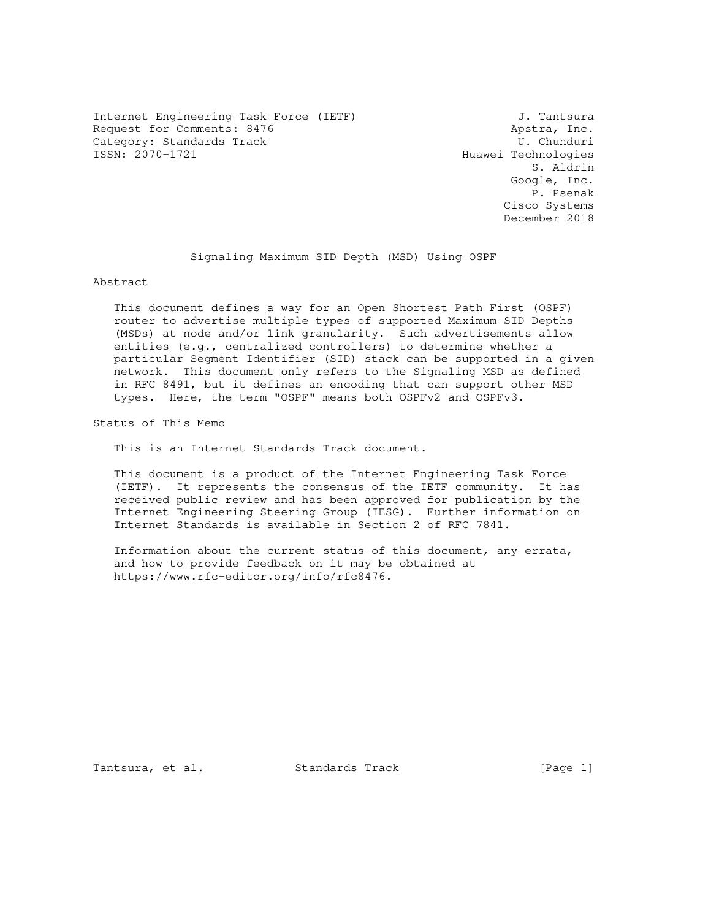Internet Engineering Task Force (IETF) 3. Tantsura Request for Comments: 8476 <br>Category: Standards Track Category: Standards Track Category: Standards Track<br>ISSN: 2070-1721

Huawei Technologies S. Aldrin Google, Inc. P. Psenak Cisco Systems December 2018

Signaling Maximum SID Depth (MSD) Using OSPF

Abstract

 This document defines a way for an Open Shortest Path First (OSPF) router to advertise multiple types of supported Maximum SID Depths (MSDs) at node and/or link granularity. Such advertisements allow entities (e.g., centralized controllers) to determine whether a particular Segment Identifier (SID) stack can be supported in a given network. This document only refers to the Signaling MSD as defined in RFC 8491, but it defines an encoding that can support other MSD types. Here, the term "OSPF" means both OSPFv2 and OSPFv3.

Status of This Memo

This is an Internet Standards Track document.

 This document is a product of the Internet Engineering Task Force (IETF). It represents the consensus of the IETF community. It has received public review and has been approved for publication by the Internet Engineering Steering Group (IESG). Further information on Internet Standards is available in Section 2 of RFC 7841.

 Information about the current status of this document, any errata, and how to provide feedback on it may be obtained at https://www.rfc-editor.org/info/rfc8476.

Tantsura, et al. Standards Track [Page 1]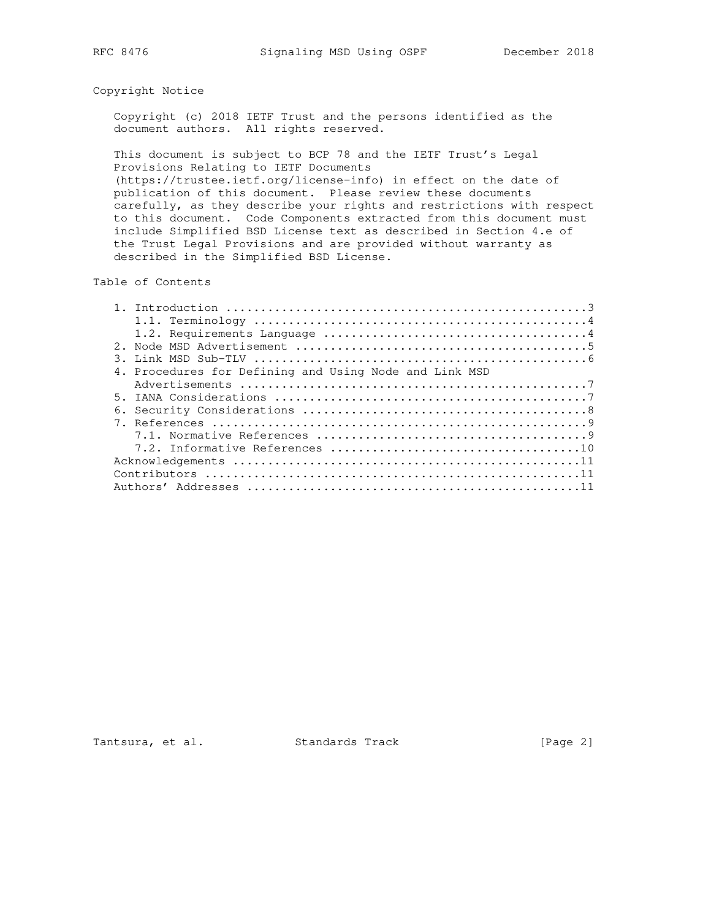# Copyright Notice

 Copyright (c) 2018 IETF Trust and the persons identified as the document authors. All rights reserved.

 This document is subject to BCP 78 and the IETF Trust's Legal Provisions Relating to IETF Documents (https://trustee.ietf.org/license-info) in effect on the date of publication of this document. Please review these documents carefully, as they describe your rights and restrictions with respect to this document. Code Components extracted from this document must include Simplified BSD License text as described in Section 4.e of the Trust Legal Provisions and are provided without warranty as described in the Simplified BSD License.

Table of Contents

|    | 4. Procedures for Defining and Using Node and Link MSD |
|----|--------------------------------------------------------|
|    |                                                        |
| 5. |                                                        |
|    |                                                        |
|    |                                                        |
|    |                                                        |
|    |                                                        |
|    |                                                        |
|    |                                                        |
|    |                                                        |

Tantsura, et al. Standards Track [Page 2]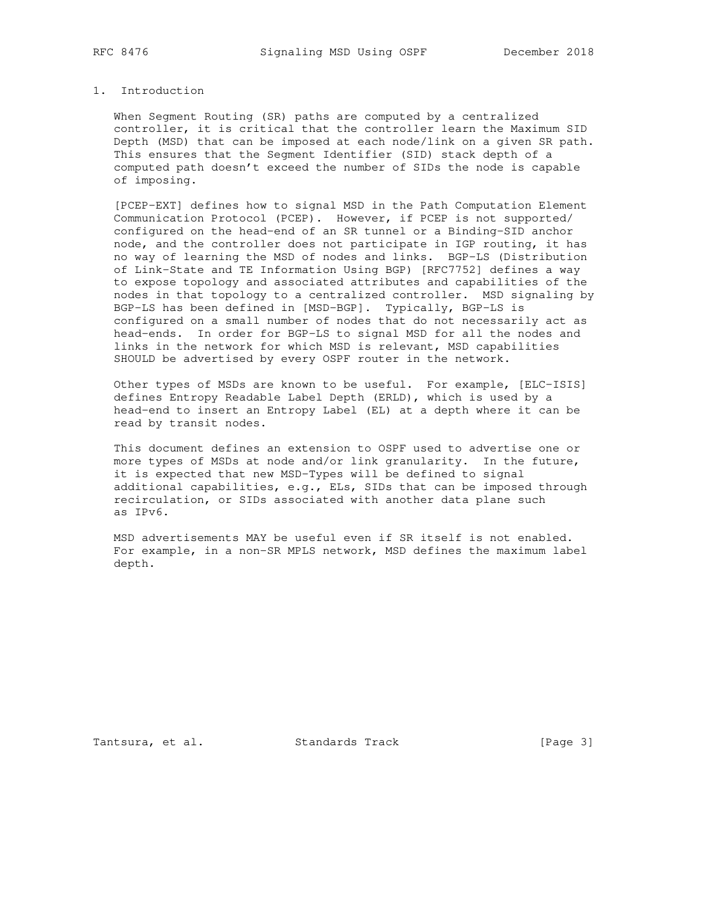## 1. Introduction

 When Segment Routing (SR) paths are computed by a centralized controller, it is critical that the controller learn the Maximum SID Depth (MSD) that can be imposed at each node/link on a given SR path. This ensures that the Segment Identifier (SID) stack depth of a computed path doesn't exceed the number of SIDs the node is capable of imposing.

 [PCEP-EXT] defines how to signal MSD in the Path Computation Element Communication Protocol (PCEP). However, if PCEP is not supported/ configured on the head-end of an SR tunnel or a Binding-SID anchor node, and the controller does not participate in IGP routing, it has no way of learning the MSD of nodes and links. BGP-LS (Distribution of Link-State and TE Information Using BGP) [RFC7752] defines a way to expose topology and associated attributes and capabilities of the nodes in that topology to a centralized controller. MSD signaling by BGP-LS has been defined in [MSD-BGP]. Typically, BGP-LS is configured on a small number of nodes that do not necessarily act as head-ends. In order for BGP-LS to signal MSD for all the nodes and links in the network for which MSD is relevant, MSD capabilities SHOULD be advertised by every OSPF router in the network.

 Other types of MSDs are known to be useful. For example, [ELC-ISIS] defines Entropy Readable Label Depth (ERLD), which is used by a head-end to insert an Entropy Label (EL) at a depth where it can be read by transit nodes.

 This document defines an extension to OSPF used to advertise one or more types of MSDs at node and/or link granularity. In the future, it is expected that new MSD-Types will be defined to signal additional capabilities, e.g., ELs, SIDs that can be imposed through recirculation, or SIDs associated with another data plane such as IPv6.

 MSD advertisements MAY be useful even if SR itself is not enabled. For example, in a non-SR MPLS network, MSD defines the maximum label depth.

Tantsura, et al. Standards Track [Page 3]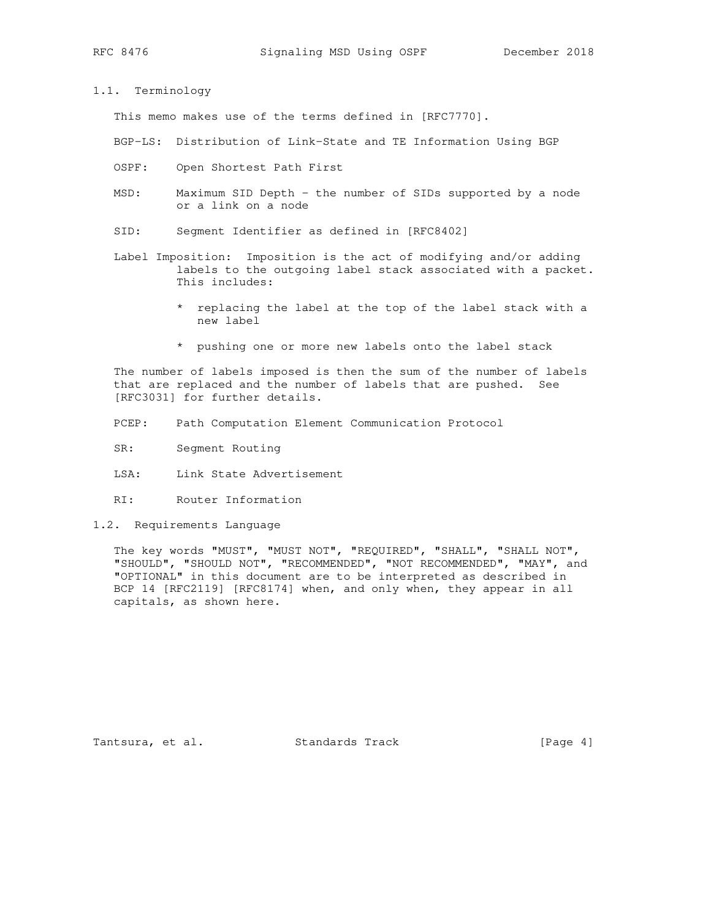#### 1.1. Terminology

This memo makes use of the terms defined in [RFC7770].

BGP-LS: Distribution of Link-State and TE Information Using BGP

- OSPF: Open Shortest Path First
- MSD: Maximum SID Depth the number of SIDs supported by a node or a link on a node
- SID: Segment Identifier as defined in [RFC8402]
- Label Imposition: Imposition is the act of modifying and/or adding labels to the outgoing label stack associated with a packet. This includes:
	- \* replacing the label at the top of the label stack with a new label
	- \* pushing one or more new labels onto the label stack

 The number of labels imposed is then the sum of the number of labels that are replaced and the number of labels that are pushed. See [RFC3031] for further details.

- PCEP: Path Computation Element Communication Protocol
- SR: Segment Routing
- LSA: Link State Advertisement
- RI: Router Information
- 1.2. Requirements Language

 The key words "MUST", "MUST NOT", "REQUIRED", "SHALL", "SHALL NOT", "SHOULD", "SHOULD NOT", "RECOMMENDED", "NOT RECOMMENDED", "MAY", and "OPTIONAL" in this document are to be interpreted as described in BCP 14 [RFC2119] [RFC8174] when, and only when, they appear in all capitals, as shown here.

Tantsura, et al. Standards Track [Page 4]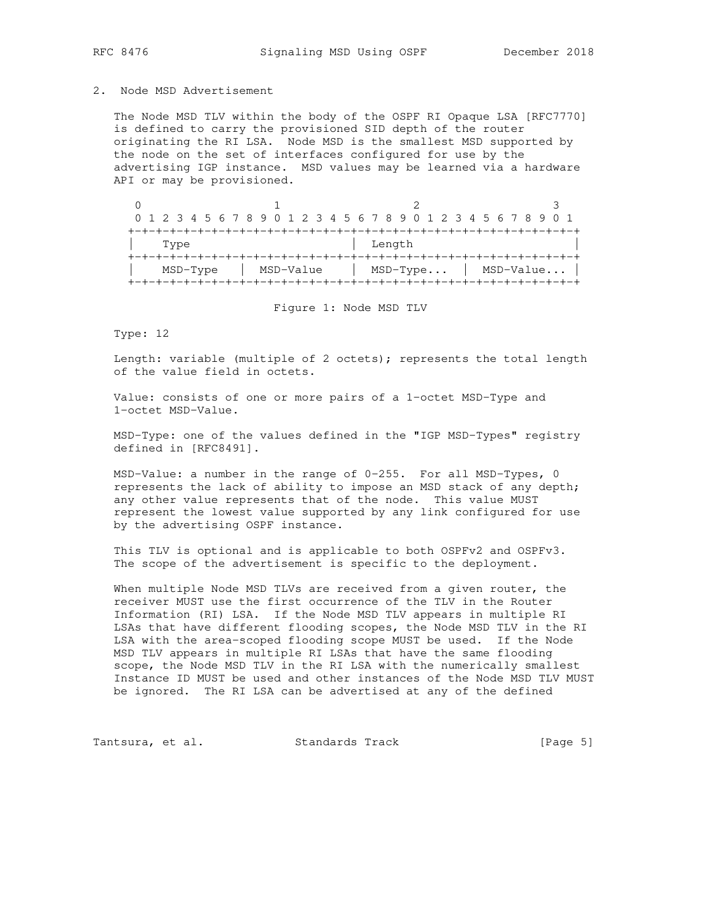#### 2. Node MSD Advertisement

 The Node MSD TLV within the body of the OSPF RI Opaque LSA [RFC7770] is defined to carry the provisioned SID depth of the router originating the RI LSA. Node MSD is the smallest MSD supported by the node on the set of interfaces configured for use by the advertising IGP instance. MSD values may be learned via a hardware API or may be provisioned.

|          |           | 0 1 2 3 4 5 6 7 8 9 0 1 2 3 4 5 6 7 8 9 0 1 2 3 4 5 6 7 8 9 0 1 |           |  |  |
|----------|-----------|-----------------------------------------------------------------|-----------|--|--|
|          |           |                                                                 |           |  |  |
| Type     |           | Length                                                          |           |  |  |
|          |           |                                                                 |           |  |  |
| MSD-Type | MSD-Value | $MSD-Type$                                                      | MSD-Value |  |  |
|          |           |                                                                 |           |  |  |

Figure 1: Node MSD TLV

Type: 12

 Length: variable (multiple of 2 octets); represents the total length of the value field in octets.

 Value: consists of one or more pairs of a 1-octet MSD-Type and 1-octet MSD-Value.

 MSD-Type: one of the values defined in the "IGP MSD-Types" registry defined in [RFC8491].

 MSD-Value: a number in the range of 0-255. For all MSD-Types, 0 represents the lack of ability to impose an MSD stack of any depth; any other value represents that of the node. This value MUST represent the lowest value supported by any link configured for use by the advertising OSPF instance.

 This TLV is optional and is applicable to both OSPFv2 and OSPFv3. The scope of the advertisement is specific to the deployment.

 When multiple Node MSD TLVs are received from a given router, the receiver MUST use the first occurrence of the TLV in the Router Information (RI) LSA. If the Node MSD TLV appears in multiple RI LSAs that have different flooding scopes, the Node MSD TLV in the RI LSA with the area-scoped flooding scope MUST be used. If the Node MSD TLV appears in multiple RI LSAs that have the same flooding scope, the Node MSD TLV in the RI LSA with the numerically smallest Instance ID MUST be used and other instances of the Node MSD TLV MUST be ignored. The RI LSA can be advertised at any of the defined

Tantsura, et al. Standards Track [Page 5]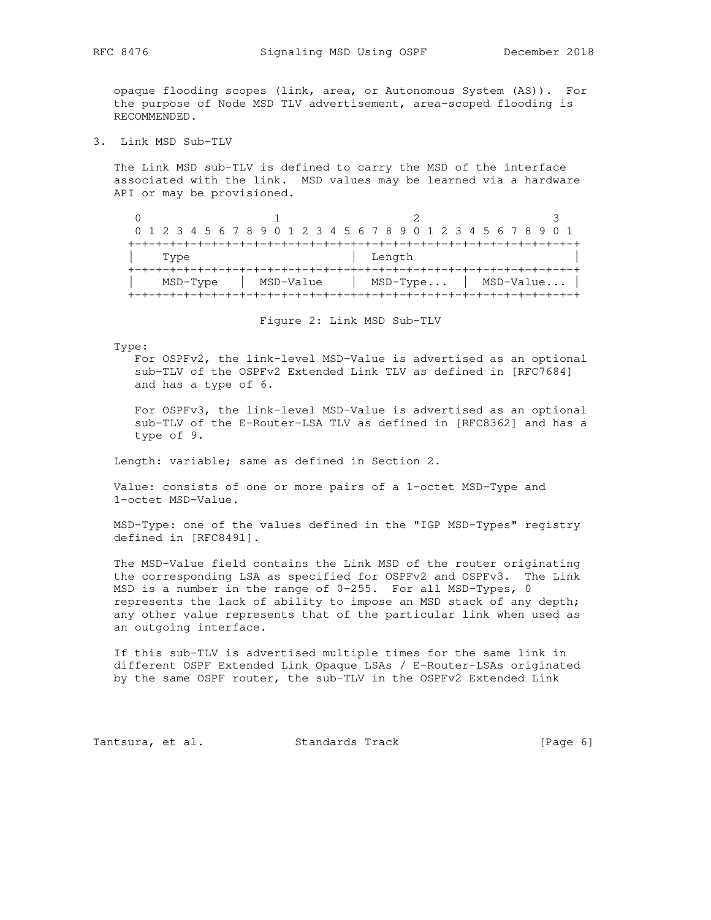opaque flooding scopes (link, area, or Autonomous System (AS)). For the purpose of Node MSD TLV advertisement, area-scoped flooding is RECOMMENDED.

3. Link MSD Sub-TLV

 The Link MSD sub-TLV is defined to carry the MSD of the interface associated with the link. MSD values may be learned via a hardware API or may be provisioned.

| 0 1 2 3 4 5 6 7 8 9 0 1 2 3 4 5 6 7 8 9 0 1 2 3 4 5 6 7 8 9 0 1 |  |  |           |  |  |  |            |        |  |  |  |  |           |  |  |
|-----------------------------------------------------------------|--|--|-----------|--|--|--|------------|--------|--|--|--|--|-----------|--|--|
|                                                                 |  |  |           |  |  |  |            |        |  |  |  |  |           |  |  |
| Type                                                            |  |  |           |  |  |  |            | Length |  |  |  |  |           |  |  |
|                                                                 |  |  |           |  |  |  |            |        |  |  |  |  |           |  |  |
| MSD-Type                                                        |  |  | MSD-Value |  |  |  | $MSD-Type$ |        |  |  |  |  | MSD-Value |  |  |
|                                                                 |  |  |           |  |  |  |            |        |  |  |  |  |           |  |  |

Figure 2: Link MSD Sub-TLV

Type:

 For OSPFv2, the link-level MSD-Value is advertised as an optional sub-TLV of the OSPFv2 Extended Link TLV as defined in [RFC7684] and has a type of 6.

 For OSPFv3, the link-level MSD-Value is advertised as an optional sub-TLV of the E-Router-LSA TLV as defined in [RFC8362] and has a type of 9.

Length: variable; same as defined in Section 2.

 Value: consists of one or more pairs of a 1-octet MSD-Type and 1-octet MSD-Value.

 MSD-Type: one of the values defined in the "IGP MSD-Types" registry defined in [RFC8491].

 The MSD-Value field contains the Link MSD of the router originating the corresponding LSA as specified for OSPFv2 and OSPFv3. The Link MSD is a number in the range of 0-255. For all MSD-Types, 0 represents the lack of ability to impose an MSD stack of any depth; any other value represents that of the particular link when used as an outgoing interface.

 If this sub-TLV is advertised multiple times for the same link in different OSPF Extended Link Opaque LSAs / E-Router-LSAs originated by the same OSPF router, the sub-TLV in the OSPFv2 Extended Link

Tantsura, et al. Standards Track [Page 6]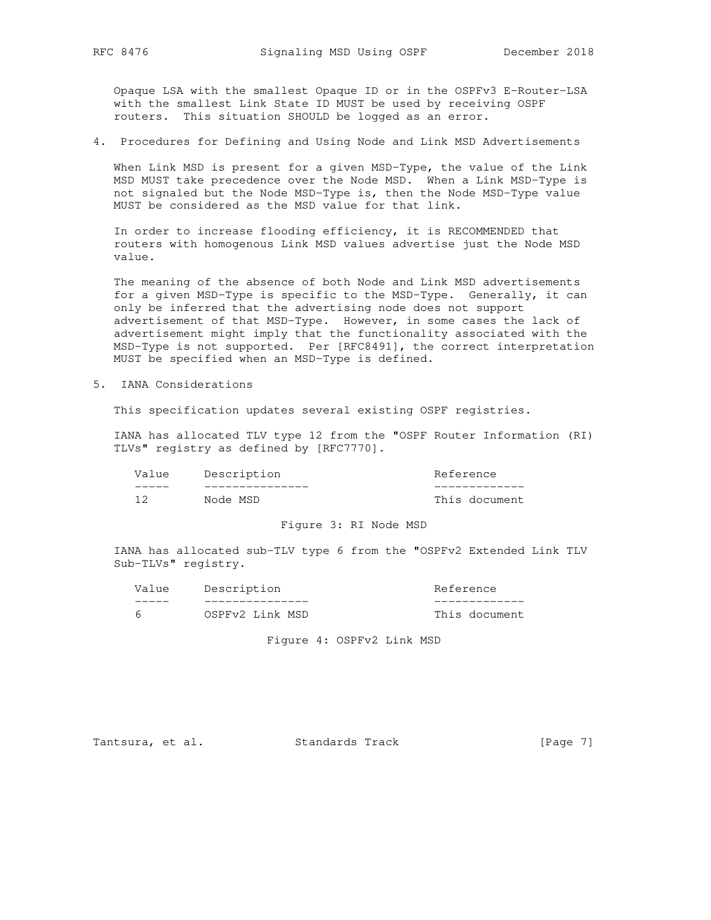Opaque LSA with the smallest Opaque ID or in the OSPFv3 E-Router-LSA with the smallest Link State ID MUST be used by receiving OSPF routers. This situation SHOULD be logged as an error.

4. Procedures for Defining and Using Node and Link MSD Advertisements

 When Link MSD is present for a given MSD-Type, the value of the Link MSD MUST take precedence over the Node MSD. When a Link MSD-Type is not signaled but the Node MSD-Type is, then the Node MSD-Type value MUST be considered as the MSD value for that link.

 In order to increase flooding efficiency, it is RECOMMENDED that routers with homogenous Link MSD values advertise just the Node MSD value.

 The meaning of the absence of both Node and Link MSD advertisements for a given MSD-Type is specific to the MSD-Type. Generally, it can only be inferred that the advertising node does not support advertisement of that MSD-Type. However, in some cases the lack of advertisement might imply that the functionality associated with the MSD-Type is not supported. Per [RFC8491], the correct interpretation MUST be specified when an MSD-Type is defined.

5. IANA Considerations

This specification updates several existing OSPF registries.

 IANA has allocated TLV type 12 from the "OSPF Router Information (RI) TLVs" registry as defined by [RFC7770].

| Value | Description | Reference     |  |  |  |  |  |
|-------|-------------|---------------|--|--|--|--|--|
|       |             |               |  |  |  |  |  |
|       | Node MSD    | This document |  |  |  |  |  |

### Figure 3: RI Node MSD

 IANA has allocated sub-TLV type 6 from the "OSPFv2 Extended Link TLV Sub-TLVs" registry.

| Value | Description     | Reference     |
|-------|-----------------|---------------|
|       |                 |               |
|       | OSPFv2 Link MSD | This document |

Figure 4: OSPFv2 Link MSD

Tantsura, et al. Standards Track [Page 7]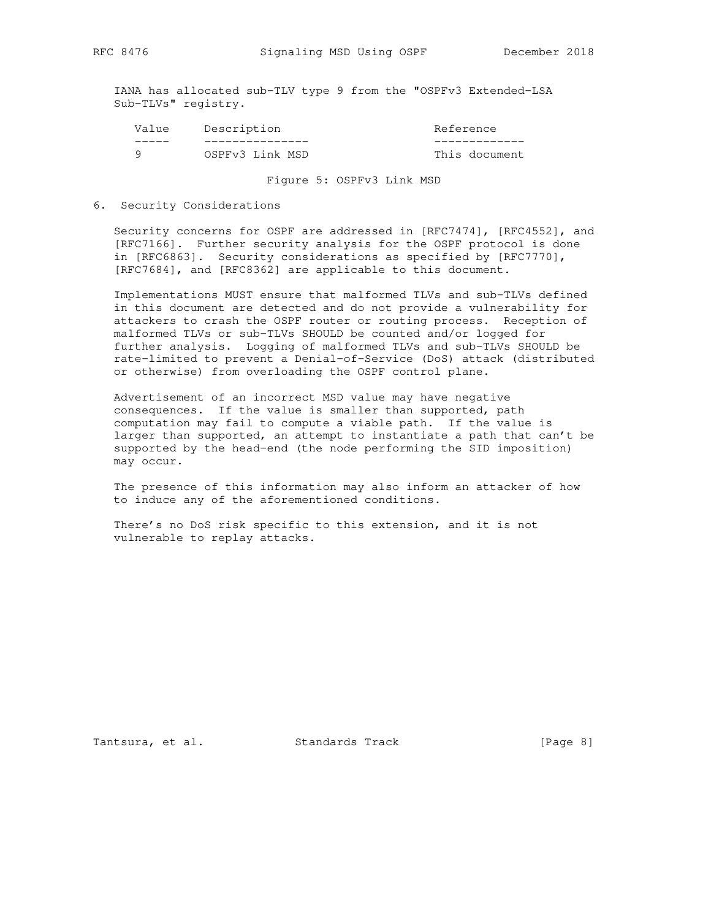IANA has allocated sub-TLV type 9 from the "OSPFv3 Extended-LSA Sub-TLVs" registry.

| Value | Description     | Reference     |
|-------|-----------------|---------------|
|       |                 |               |
|       | OSPFv3 Link MSD | This document |

Figure 5: OSPFv3 Link MSD

6. Security Considerations

 Security concerns for OSPF are addressed in [RFC7474], [RFC4552], and [RFC7166]. Further security analysis for the OSPF protocol is done in [RFC6863]. Security considerations as specified by [RFC7770], [RFC7684], and [RFC8362] are applicable to this document.

 Implementations MUST ensure that malformed TLVs and sub-TLVs defined in this document are detected and do not provide a vulnerability for attackers to crash the OSPF router or routing process. Reception of malformed TLVs or sub-TLVs SHOULD be counted and/or logged for further analysis. Logging of malformed TLVs and sub-TLVs SHOULD be rate-limited to prevent a Denial-of-Service (DoS) attack (distributed or otherwise) from overloading the OSPF control plane.

 Advertisement of an incorrect MSD value may have negative consequences. If the value is smaller than supported, path computation may fail to compute a viable path. If the value is larger than supported, an attempt to instantiate a path that can't be supported by the head-end (the node performing the SID imposition) may occur.

 The presence of this information may also inform an attacker of how to induce any of the aforementioned conditions.

 There's no DoS risk specific to this extension, and it is not vulnerable to replay attacks.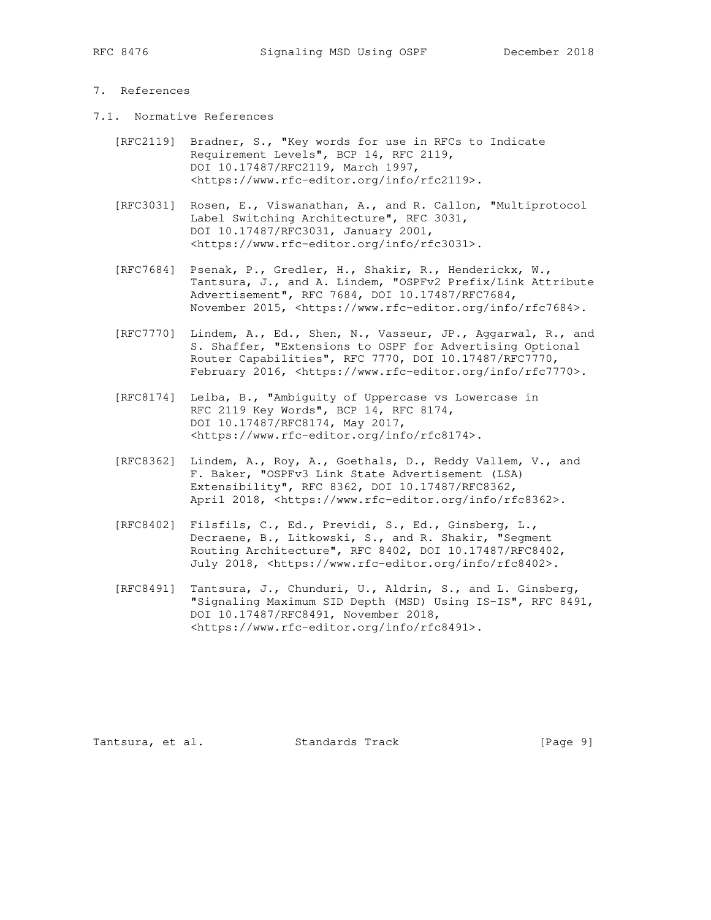# 7. References

- 7.1. Normative References
	- [RFC2119] Bradner, S., "Key words for use in RFCs to Indicate Requirement Levels", BCP 14, RFC 2119, DOI 10.17487/RFC2119, March 1997, <https://www.rfc-editor.org/info/rfc2119>.
	- [RFC3031] Rosen, E., Viswanathan, A., and R. Callon, "Multiprotocol Label Switching Architecture", RFC 3031, DOI 10.17487/RFC3031, January 2001, <https://www.rfc-editor.org/info/rfc3031>.
	- [RFC7684] Psenak, P., Gredler, H., Shakir, R., Henderickx, W., Tantsura, J., and A. Lindem, "OSPFv2 Prefix/Link Attribute Advertisement", RFC 7684, DOI 10.17487/RFC7684, November 2015, <https://www.rfc-editor.org/info/rfc7684>.
	- [RFC7770] Lindem, A., Ed., Shen, N., Vasseur, JP., Aggarwal, R., and S. Shaffer, "Extensions to OSPF for Advertising Optional Router Capabilities", RFC 7770, DOI 10.17487/RFC7770, February 2016, <https://www.rfc-editor.org/info/rfc7770>.
	- [RFC8174] Leiba, B., "Ambiguity of Uppercase vs Lowercase in RFC 2119 Key Words", BCP 14, RFC 8174, DOI 10.17487/RFC8174, May 2017, <https://www.rfc-editor.org/info/rfc8174>.
	- [RFC8362] Lindem, A., Roy, A., Goethals, D., Reddy Vallem, V., and F. Baker, "OSPFv3 Link State Advertisement (LSA) Extensibility", RFC 8362, DOI 10.17487/RFC8362, April 2018, <https://www.rfc-editor.org/info/rfc8362>.
	- [RFC8402] Filsfils, C., Ed., Previdi, S., Ed., Ginsberg, L., Decraene, B., Litkowski, S., and R. Shakir, "Segment Routing Architecture", RFC 8402, DOI 10.17487/RFC8402, July 2018, <https://www.rfc-editor.org/info/rfc8402>.
	- [RFC8491] Tantsura, J., Chunduri, U., Aldrin, S., and L. Ginsberg, "Signaling Maximum SID Depth (MSD) Using IS-IS", RFC 8491, DOI 10.17487/RFC8491, November 2018, <https://www.rfc-editor.org/info/rfc8491>.

Tantsura, et al. Standards Track [Page 9]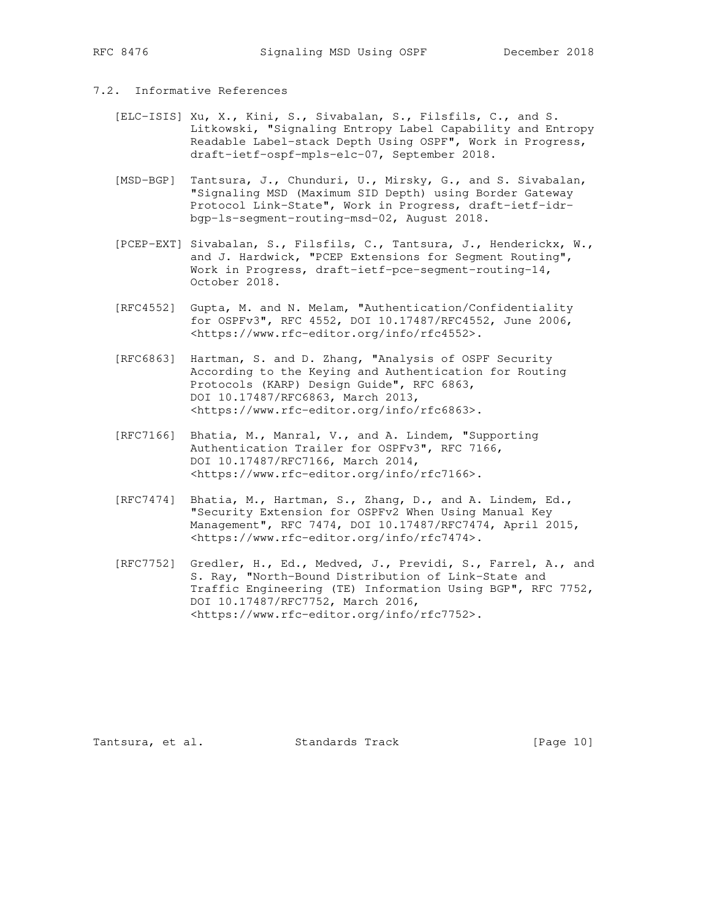## 7.2. Informative References

- [ELC-ISIS] Xu, X., Kini, S., Sivabalan, S., Filsfils, C., and S. Litkowski, "Signaling Entropy Label Capability and Entropy Readable Label-stack Depth Using OSPF", Work in Progress, draft-ietf-ospf-mpls-elc-07, September 2018.
- [MSD-BGP] Tantsura, J., Chunduri, U., Mirsky, G., and S. Sivabalan, "Signaling MSD (Maximum SID Depth) using Border Gateway Protocol Link-State", Work in Progress, draft-ietf-idr bgp-ls-segment-routing-msd-02, August 2018.
- [PCEP-EXT] Sivabalan, S., Filsfils, C., Tantsura, J., Henderickx, W., and J. Hardwick, "PCEP Extensions for Segment Routing", Work in Progress, draft-ietf-pce-segment-routing-14, October 2018.
	- [RFC4552] Gupta, M. and N. Melam, "Authentication/Confidentiality for OSPFv3", RFC 4552, DOI 10.17487/RFC4552, June 2006, <https://www.rfc-editor.org/info/rfc4552>.
	- [RFC6863] Hartman, S. and D. Zhang, "Analysis of OSPF Security According to the Keying and Authentication for Routing Protocols (KARP) Design Guide", RFC 6863, DOI 10.17487/RFC6863, March 2013, <https://www.rfc-editor.org/info/rfc6863>.
	- [RFC7166] Bhatia, M., Manral, V., and A. Lindem, "Supporting Authentication Trailer for OSPFv3", RFC 7166, DOI 10.17487/RFC7166, March 2014, <https://www.rfc-editor.org/info/rfc7166>.
	- [RFC7474] Bhatia, M., Hartman, S., Zhang, D., and A. Lindem, Ed., "Security Extension for OSPFv2 When Using Manual Key Management", RFC 7474, DOI 10.17487/RFC7474, April 2015, <https://www.rfc-editor.org/info/rfc7474>.
	- [RFC7752] Gredler, H., Ed., Medved, J., Previdi, S., Farrel, A., and S. Ray, "North-Bound Distribution of Link-State and Traffic Engineering (TE) Information Using BGP", RFC 7752, DOI 10.17487/RFC7752, March 2016, <https://www.rfc-editor.org/info/rfc7752>.

Tantsura, et al. Standards Track [Page 10]